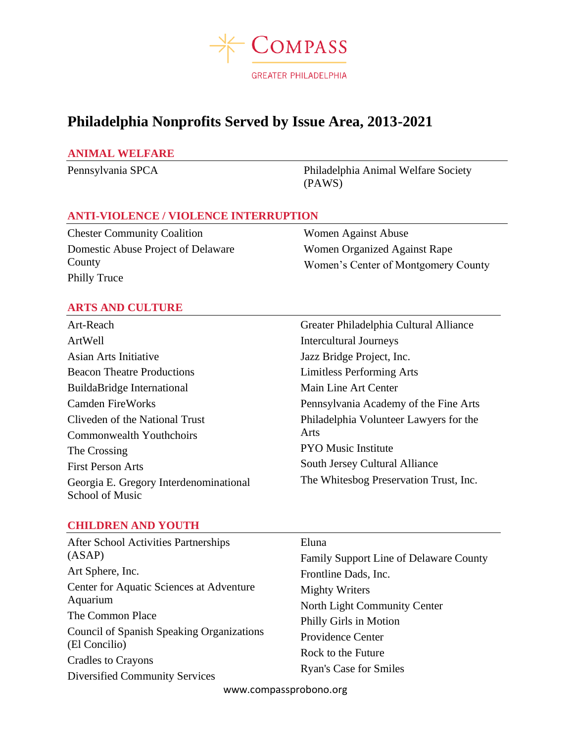

# **Philadelphia Nonprofits Served by Issue Area, 2013-2021**

#### **ANIMAL WELFARE**

Pennsylvania SPCA Philadelphia Animal Welfare Society (PAWS)

## **ANTI-VIOLENCE / VIOLENCE INTERRUPTION**

Chester Community Coalition Domestic Abuse Project of Delaware County Philly Truce

Women Against Abuse Women Organized Against Rape Women's Center of Montgomery County

# **ARTS AND CULTURE**

Art-Reach ArtWell Asian Arts Initiative Beacon Theatre Productions BuildaBridge International Camden FireWorks Cliveden of the National Trust Commonwealth Youthchoirs The Crossing First Person Arts Georgia E. Gregory Interdenominational School of Music

Greater Philadelphia Cultural Alliance Intercultural Journeys Jazz Bridge Project, Inc. Limitless Performing Arts Main Line Art Center Pennsylvania Academy of the Fine Arts Philadelphia Volunteer Lawyers for the Arts PYO Music Institute South Jersey Cultural Alliance The Whitesbog Preservation Trust, Inc.

#### **CHILDREN AND YOUTH**

| <b>After School Activities Partnerships</b>                                                                                                   | Eluna                                         |
|-----------------------------------------------------------------------------------------------------------------------------------------------|-----------------------------------------------|
| (ASAP)                                                                                                                                        | <b>Family Support Line of Delaware County</b> |
| Art Sphere, Inc.                                                                                                                              | Frontline Dads, Inc.                          |
| Center for Aquatic Sciences at Adventure<br>Aquarium<br>The Common Place<br><b>Council of Spanish Speaking Organizations</b><br>(El Concilio) | Mighty Writers                                |
|                                                                                                                                               | North Light Community Center                  |
|                                                                                                                                               | Philly Girls in Motion                        |
|                                                                                                                                               | Providence Center                             |
|                                                                                                                                               | Rock to the Future                            |
| <b>Cradles to Crayons</b><br>Diversified Community Services                                                                                   | <b>Ryan's Case for Smiles</b>                 |
|                                                                                                                                               |                                               |

www.compassprobono.org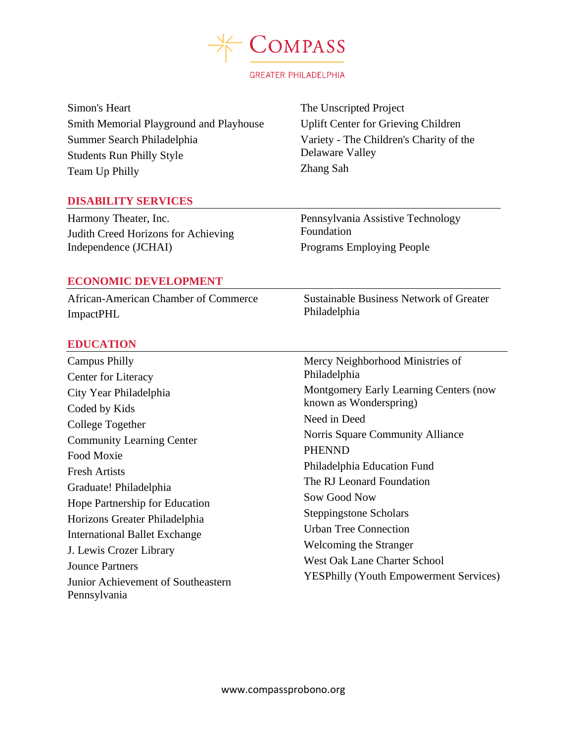

Simon's Heart Smith Memorial Playground and Playhouse Summer Search Philadelphia Students Run Philly Style Team Up Philly

The Unscripted Project Uplift Center for Grieving Children Variety - The Children's Charity of the Delaware Valley Zhang Sah

## **DISABILITY SERVICES**

Harmony Theater, Inc. Judith Creed Horizons for Achieving Independence (JCHAI)

Pennsylvania Assistive Technology Foundation Programs Employing People

Philadelphia

Sustainable Business Network of Greater

#### **ECONOMIC DEVELOPMENT**

African-American Chamber of Commerce ImpactPHL

#### **EDUCATION**

Campus Philly Center for Literacy City Year Philadelphia Coded by Kids College Together Community Learning Center Food Moxie Fresh Artists Graduate! Philadelphia Hope Partnership for Education Horizons Greater Philadelphia International Ballet Exchange J. Lewis Crozer Library Jounce Partners Junior Achievement of Southeastern Pennsylvania Mercy Neighborhood Ministries of Philadelphia Montgomery Early Learning Centers (now known as Wonderspring) Need in Deed Norris Square Community Alliance PHENND Philadelphia Education Fund The RJ Leonard Foundation Sow Good Now Steppingstone Scholars Urban Tree Connection Welcoming the Stranger West Oak Lane Charter School YESPhilly (Youth Empowerment Services)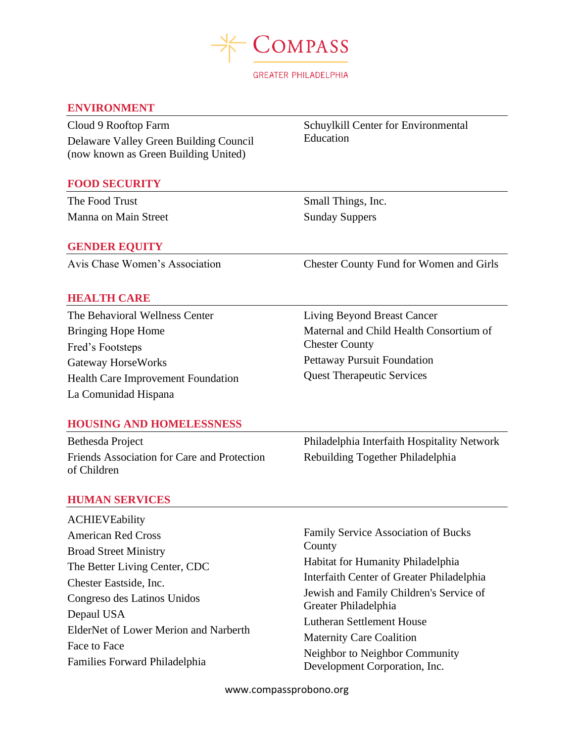

#### **ENVIRONMENT**

Cloud 9 Rooftop Farm Delaware Valley Green Building Council (now known as Green Building United)

#### **FOOD SECURITY**

The Food Trust Manna on Main Street

## **GENDER EQUITY**

Schuylkill Center for Environmental Education

Small Things, Inc. Sunday Suppers

Avis Chase Women's Association Chester County Fund for Women and Girls

## **HEALTH CARE**

The Behavioral Wellness Center Bringing Hope Home Fred's Footsteps Gateway HorseWorks Health Care Improvement Foundation La Comunidad Hispana

Living Beyond Breast Cancer Maternal and Child Health Consortium of Chester County Pettaway Pursuit Foundation Quest Therapeutic Services

#### **HOUSING AND HOMELESSNESS**

Bethesda Project Friends Association for Care and Protection of Children

Philadelphia Interfaith Hospitality Network Rebuilding Together Philadelphia

#### **HUMAN SERVICES**

ACHIEVEability American Red Cross Broad Street Ministry The Better Living Center, CDC Chester Eastside, Inc. Congreso des Latinos Unidos Depaul USA ElderNet of Lower Merion and Narberth Face to Face Families Forward Philadelphia

Family Service Association of Bucks County Habitat for Humanity Philadelphia Interfaith Center of Greater Philadelphia Jewish and Family Children's Service of Greater Philadelphia Lutheran Settlement House Maternity Care Coalition Neighbor to Neighbor Community Development Corporation, Inc.